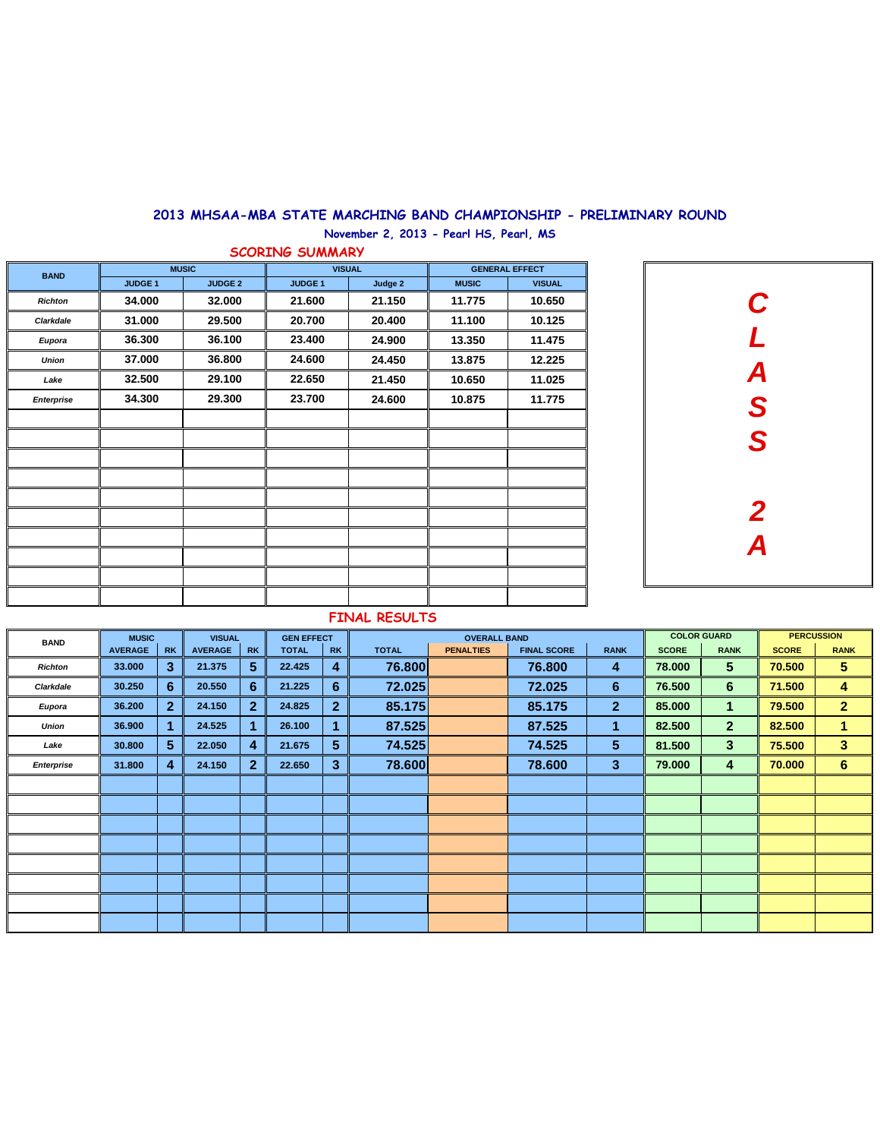| <b>BAND</b>       |                | <b>MUSIC</b>   |                |                                                                                                                                                                         | <b>GENERAL EFFECT</b> |        |  |  |  |  |
|-------------------|----------------|----------------|----------------|-------------------------------------------------------------------------------------------------------------------------------------------------------------------------|-----------------------|--------|--|--|--|--|
|                   | <b>JUDGE 1</b> | <b>JUDGE 2</b> | <b>JUDGE 1</b> | <b>VISUAL</b><br><b>Judge 2</b><br><b>MUSIC</b><br>21.150<br>11.775<br>11.100<br>20.400<br>24.900<br>13.350<br>24.450<br>13.875<br>21.450<br>10.650<br>24.600<br>10.875 | <b>VISUAL</b>         |        |  |  |  |  |
| <b>Richton</b>    | 34.000         | 32.000         | 21.600         |                                                                                                                                                                         |                       | 10.650 |  |  |  |  |
| <b>Clarkdale</b>  | 31.000         | 29.500         | 20.700         |                                                                                                                                                                         |                       | 10.125 |  |  |  |  |
| Eupora            | 36.300         | 36.100         | 23.400         |                                                                                                                                                                         |                       | 11.475 |  |  |  |  |
| <b>Union</b>      | 37.000         | 36.800         | 24.600         |                                                                                                                                                                         |                       | 12.225 |  |  |  |  |
| Lake              | 32.500         | 29.100         | 22.650         |                                                                                                                                                                         |                       | 11.025 |  |  |  |  |
| <b>Enterprise</b> | 34.300         | 29.300         | 23.700         |                                                                                                                                                                         |                       | 11.775 |  |  |  |  |
|                   |                |                |                |                                                                                                                                                                         |                       |        |  |  |  |  |
|                   |                |                |                |                                                                                                                                                                         |                       |        |  |  |  |  |
|                   |                |                |                |                                                                                                                                                                         |                       |        |  |  |  |  |
|                   |                |                |                |                                                                                                                                                                         |                       |        |  |  |  |  |
|                   |                |                |                |                                                                                                                                                                         |                       |        |  |  |  |  |
|                   |                |                |                |                                                                                                                                                                         |                       |        |  |  |  |  |
|                   |                |                |                |                                                                                                                                                                         |                       |        |  |  |  |  |
|                   |                |                |                |                                                                                                                                                                         |                       |        |  |  |  |  |
|                   |                |                |                |                                                                                                                                                                         |                       |        |  |  |  |  |
|                   |                |                |                |                                                                                                                                                                         |                       |        |  |  |  |  |

| <b>BAND</b>       | <b>MUSIC</b>   |                | <b>VISUAL</b>  |                | <b>GEN EFFECT</b> |                |              | <b>OVERALL BAND</b> |                    | <b>COLOR GUARD</b> |              |                  | <b>PERCUSSION</b> |                         |
|-------------------|----------------|----------------|----------------|----------------|-------------------|----------------|--------------|---------------------|--------------------|--------------------|--------------|------------------|-------------------|-------------------------|
|                   | <b>AVERAGE</b> | <b>RK</b>      | <b>AVERAGE</b> | <b>RK</b>      | <b>TOTAL</b>      | <b>RK</b>      | <b>TOTAL</b> | <b>PENALTIES</b>    | <b>FINAL SCORE</b> | <b>RANK</b>        | <b>SCORE</b> | <b>RANK</b>      | <b>SCORE</b>      | <b>RANK</b>             |
| <b>Richton</b>    | 33.000         | 3 <sup>5</sup> | 21.375         | 5 <sup>5</sup> | 22.425            | 4              | 76.800       |                     | 76.800             | $\overline{4}$     | 78.000       | 5 <sup>5</sup>   | 70.500            | 5 <sup>5</sup>          |
| <b>Clarkdale</b>  | 30.250         | 6 <sup>1</sup> | 20.550         | 6              | 21.225            | 6              | 72.025       |                     | 72.025             | 6                  | 76.500       | $6 \overline{6}$ | 71.500            | $\overline{\mathbf{4}}$ |
| <b>Eupora</b>     | 36.200         | 2 <sup>1</sup> | 24.150         | $\overline{2}$ | 24.825            | 2 <sup>1</sup> | 85.175       |                     | 85.175             | 2 <sup>1</sup>     | 85.000       | $\mathbf 1$      | 79.500            | 2 <sup>1</sup>          |
| <b>Union</b>      | 36.900         |                | 24.525         |                | 26.100            |                | 87.525       |                     | 87.525             | 1                  | 82.500       | 2 <sup>1</sup>   | 82.500            | $\mathbf 1$             |
| Lake              | 30.800         | 5 <sup>5</sup> | 22.050         | $\overline{4}$ | 21.675            | 5 <sup>5</sup> | 74.525       |                     | 74.525             | 5 <sup>5</sup>     | 81.500       | 3 <sup>5</sup>   | 75.500            | 3 <sup>1</sup>          |
| <b>Enterprise</b> | 31.800         | $\overline{4}$ | 24.150         | 2 <sup>1</sup> | 22.650            | 3 <sup>5</sup> | 78.600       |                     | 78.600             | 3 <sup>1</sup>     | 79.000       | 4                | 70.000            | $6 \n$                  |
|                   |                |                |                |                |                   |                |              |                     |                    |                    |              |                  |                   |                         |
|                   |                |                |                |                |                   |                |              |                     |                    |                    |              |                  |                   |                         |
|                   |                |                |                |                |                   |                |              |                     |                    |                    |              |                  |                   |                         |
|                   |                |                |                |                |                   |                |              |                     |                    |                    |              |                  |                   |                         |
|                   |                |                |                |                |                   |                |              |                     |                    |                    |              |                  |                   |                         |
|                   |                |                |                |                |                   |                |              |                     |                    |                    |              |                  |                   |                         |
|                   |                |                |                |                |                   |                |              |                     |                    |                    |              |                  |                   |                         |
|                   |                |                |                |                |                   |                |              |                     |                    |                    |              |                  |                   |                         |

## **FINAL RESULTS**



## **2013 MHSAA-MBA STATE MARCHING BAND CHAMPIONSHIP - PRELIMINARY ROUND**

**November 2, 2013 - Pearl HS, Pearl, MS**

**SCORING SUMMARY**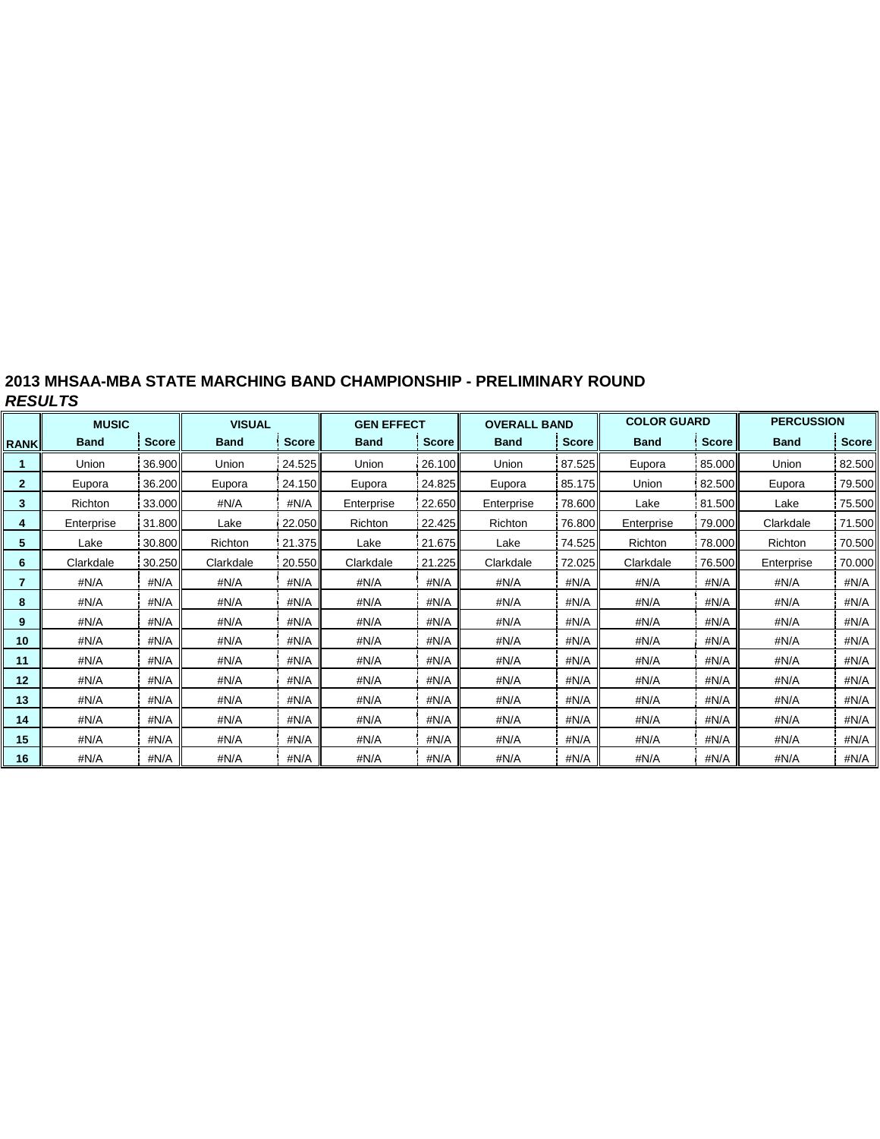| 2013 MHSAA-MBA STATE MARCHING BAND CHAMPIONSHIP - PRELIMINARY ROUND |  |
|---------------------------------------------------------------------|--|
| <b>RESULTS</b>                                                      |  |

|              | <b>MUSIC</b> |              | <b>VISUAL</b> |              | <b>GEN EFFECT</b> |              | <b>OVERALL BAND</b> |              | <b>COLOR GUARD</b> |                | <b>PERCUSSION</b> |              |  |
|--------------|--------------|--------------|---------------|--------------|-------------------|--------------|---------------------|--------------|--------------------|----------------|-------------------|--------------|--|
| <b>RANK</b>  | <b>Band</b>  | <b>Score</b> | <b>Band</b>   | <b>Score</b> | <b>Band</b>       | <b>Score</b> | <b>Band</b>         | <b>Score</b> | <b>Band</b>        | Score          | <b>Band</b>       | <b>Score</b> |  |
|              | Union        | 36.900       | Union         | 24.525       | Union             | 26.100       | Union               | 87.525       | Eupora             | 85.000         | Union             | 82.500       |  |
| $\mathbf{2}$ | Eupora       | 36.200       | Eupora        | 24.150       | Eupora            | 24.825       | Eupora              | 85.175       | Union              | 82.500         | Eupora            | 79.500       |  |
| 3            | Richton      | 33.000       | #N/A          | #N/A         | Enterprise        | 22.650       | Enterprise          | 78.600       |                    | 81.500<br>Lake |                   | 75.500       |  |
| 4            | Enterprise   | 31.800       | Lake          | 22.050       | Richton           | 22.425       | Richton             | 76.800       |                    | 79.000         | Clarkdale         | 71.500       |  |
| 5            | Lake         | 30.800       | Richton       | 21.375       | Lake              | 21.675       | Lake                | 74.525       | Richton            | 78.000         | Richton           | 70.500       |  |
| 6            | Clarkdale    | 30.250       | Clarkdale     | 20.550       | Clarkdale         | 21.225       | Clarkdale           | 72.025       | Clarkdale          | 76.500II       | Enterprise        | 70.000       |  |
| 7            | #N/A         | #N/A         | #N/A          | #N/A         | #N/A              | #N/A         | #N/A                | #N/A         | #N/A               | #N/A           |                   | #N/A         |  |
| 8            | #N/A         | #N/A         | #N/A          | #N/A         | #N/A              | #N/A         | #N/A                | #N/A         | #N/A               | #N/A           |                   | #N/A         |  |
| 9            | #N/A         | #N/A         | #N/A          | #N/A         | #N/A              | #N/A         | #N/A                | #N/A         | #N/A               | #N/A           | #N/A              | #N/A         |  |
| 10           | #N/A         | #N/A         | #N/A          | #N/A         | #N/A              | #N/A         | #N/A                | #N/A         | #N/A               | #N/A           | #N/A              | #N/A         |  |
| 11           | #N/A         | #N/A         | #N/A          | #N/A         | #N/A              | #N/A         | #N/A                | #N/A         |                    | #N/A           | #N/A              | #N/A         |  |
| 12           | #N/A         | #N/A         | #N/A          | #N/A         | #N/A              | #N/A         | #N/A                | #N/A         | #N/A               | #N/A           | #N/A              | #N/A         |  |
| 13           | #N/A         | #N/A         | #N/A          | #N/A         | #N/A              | #N/A         | #N/A                | #N/A         | #N/A               | #N/A           | #N/A              | #N/A         |  |
| 14           | #N/A         | #N/A         | #N/A          | #N/A         | #N/A              | #N/A         | #N/A                | #N/A         | #N/A               | #N/A           | #N/A              | #N/A         |  |
| 15           | #N/A         | #N/A         | #N/A          | #N/A         | #N/A              | #N/A         | #N/A                | #N/A         | #N/A<br>#N/A       |                | #N/A              | #N/A         |  |
| 16           | #N/A         | #N/A         | #N/A          | #N/A         | #N/A              | #N/A         | #N/A                | #N/A         | #N/A               | #N/A           | #N/A              | #N/A         |  |